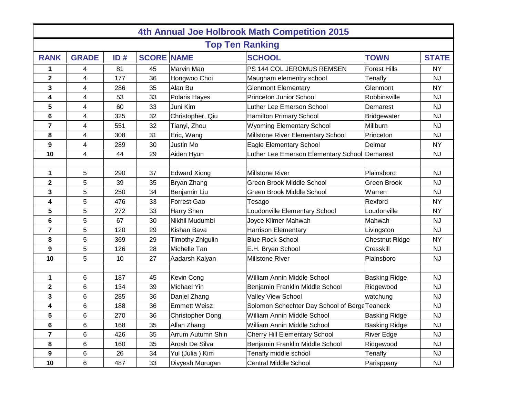| 4th Annual Joe Holbrook Math Competition 2015 |              |     |                   |                         |                                               |                       |              |  |  |  |  |  |
|-----------------------------------------------|--------------|-----|-------------------|-------------------------|-----------------------------------------------|-----------------------|--------------|--|--|--|--|--|
| <b>Top Ten Ranking</b>                        |              |     |                   |                         |                                               |                       |              |  |  |  |  |  |
| <b>RANK</b>                                   | <b>GRADE</b> | ID# | <b>SCORE NAME</b> |                         | <b>SCHOOL</b>                                 | <b>TOWN</b>           | <b>STATE</b> |  |  |  |  |  |
| 1                                             | 4            | 81  | 45                | Marvin Mao              | PS 144 COL JEROMUS REMSEN                     | <b>Forest Hills</b>   | <b>NY</b>    |  |  |  |  |  |
| $\mathbf 2$                                   | 4            | 177 | 36                | Hongwoo Choi            | Maugham elementry school                      | Tenafly               | <b>NJ</b>    |  |  |  |  |  |
| 3                                             | 4            | 286 | 35                | Alan Bu                 | <b>Glenmont Elementary</b>                    | Glenmont              | <b>NY</b>    |  |  |  |  |  |
| 4                                             | 4            | 53  | 33                | Polaris Hayes           | Princeton Junior School                       | Robbinsville          | <b>NJ</b>    |  |  |  |  |  |
| 5                                             | 4            | 60  | 33                | Juni Kim                | Luther Lee Emerson School                     | Demarest              | <b>NJ</b>    |  |  |  |  |  |
| 6                                             | 4            | 325 | 32                | Christopher, Qiu        | <b>Hamilton Primary School</b>                | <b>Bridgewater</b>    | <b>NJ</b>    |  |  |  |  |  |
| 7                                             | 4            | 551 | 32                | Tianyi, Zhou            | <b>Wyoming Elementary School</b>              | Millburn              | <b>NJ</b>    |  |  |  |  |  |
| 8                                             | 4            | 308 | 31                | Eric, Wang              | Millstone River Elementary School             | Princeton             | <b>NJ</b>    |  |  |  |  |  |
| 9                                             | 4            | 289 | 30                | Justin Mo               | <b>Eagle Elementary School</b>                | Delmar                | <b>NY</b>    |  |  |  |  |  |
| 10                                            | 4            | 44  | 29                | Aiden Hyun              | Luther Lee Emerson Elementary School Demarest |                       | <b>NJ</b>    |  |  |  |  |  |
|                                               |              |     |                   |                         |                                               |                       |              |  |  |  |  |  |
| 1                                             | 5            | 290 | 37                | <b>Edward Xiong</b>     | <b>Millstone River</b>                        | Plainsboro            | <b>NJ</b>    |  |  |  |  |  |
| $\mathbf 2$                                   | 5            | 39  | 35                | Bryan Zhang             | <b>Green Brook Middle School</b>              | Green Brook           | <b>NJ</b>    |  |  |  |  |  |
| 3                                             | 5            | 250 | 34                | Benjamin Liu            | <b>Green Brook Middle School</b>              | Warren                | <b>NJ</b>    |  |  |  |  |  |
| 4                                             | 5            | 476 | 33                | Forrest Gao             | Tesago                                        | Rexford               | <b>NY</b>    |  |  |  |  |  |
| 5                                             | 5            | 272 | 33                | Harry Shen              | Loudonville Elementary School                 | Loudonville           | <b>NY</b>    |  |  |  |  |  |
| 6                                             | 5            | 67  | 30                | Nikhil Mudumbi          | Joyce Kilmer Mahwah                           | Mahwah                | <b>NJ</b>    |  |  |  |  |  |
| $\overline{7}$                                | 5            | 120 | 29                | Kishan Bava             | <b>Harrison Elementary</b>                    | Livingston            | <b>NJ</b>    |  |  |  |  |  |
| 8                                             | 5            | 369 | 29                | Timothy Zhigulin        | <b>Blue Rock School</b>                       | <b>Chestnut Ridge</b> | <b>NY</b>    |  |  |  |  |  |
| 9                                             | 5            | 126 | 28                | Michelle Tan            | E.H. Bryan School                             | Cresskill             | <b>NJ</b>    |  |  |  |  |  |
| 10                                            | 5            | 10  | 27                | Aadarsh Kalyan          | <b>Millstone River</b>                        | Plainsboro            | <b>NJ</b>    |  |  |  |  |  |
|                                               |              |     |                   |                         |                                               |                       |              |  |  |  |  |  |
| 1                                             | 6            | 187 | 45                | Kevin Cong              | William Annin Middle School                   | <b>Basking Ridge</b>  | <b>NJ</b>    |  |  |  |  |  |
| 2                                             | 6            | 134 | 39                | Michael Yin             | Benjamin Franklin Middle School               | Ridgewood             | <b>NJ</b>    |  |  |  |  |  |
| 3                                             | 6            | 285 | 36                | Daniel Zhang            | Valley View School                            | watchung              | <b>NJ</b>    |  |  |  |  |  |
| 4                                             | 6            | 188 | 36                | <b>Emmett Weisz</b>     | Solomon Schechter Day School of Berge Teaneck |                       | <b>NJ</b>    |  |  |  |  |  |
| 5                                             | 6            | 270 | 36                | <b>Christopher Dong</b> | William Annin Middle School                   | <b>Basking Ridge</b>  | <b>NJ</b>    |  |  |  |  |  |
| 6                                             | 6            | 168 | 35                | Allan Zhang             | William Annin Middle School                   | <b>Basking Ridge</b>  | <b>NJ</b>    |  |  |  |  |  |
| 7                                             | 6            | 426 | 35                | Arrum Autumn Shin       | <b>Cherry Hill Elementary School</b>          | <b>River Edge</b>     | <b>NJ</b>    |  |  |  |  |  |
| 8                                             | 6            | 160 | 35                | Arosh De Silva          | Benjamin Franklin Middle School               | Ridgewood             | <b>NJ</b>    |  |  |  |  |  |
| 9                                             | 6            | 26  | 34                | Yul (Julia) Kim         | Tenafly middle school                         | Tenafly               | NJ           |  |  |  |  |  |
| 10                                            | 6            | 487 | 33                | Divyesh Murugan         | <b>Central Middle School</b>                  | Parisppany            | <b>NJ</b>    |  |  |  |  |  |